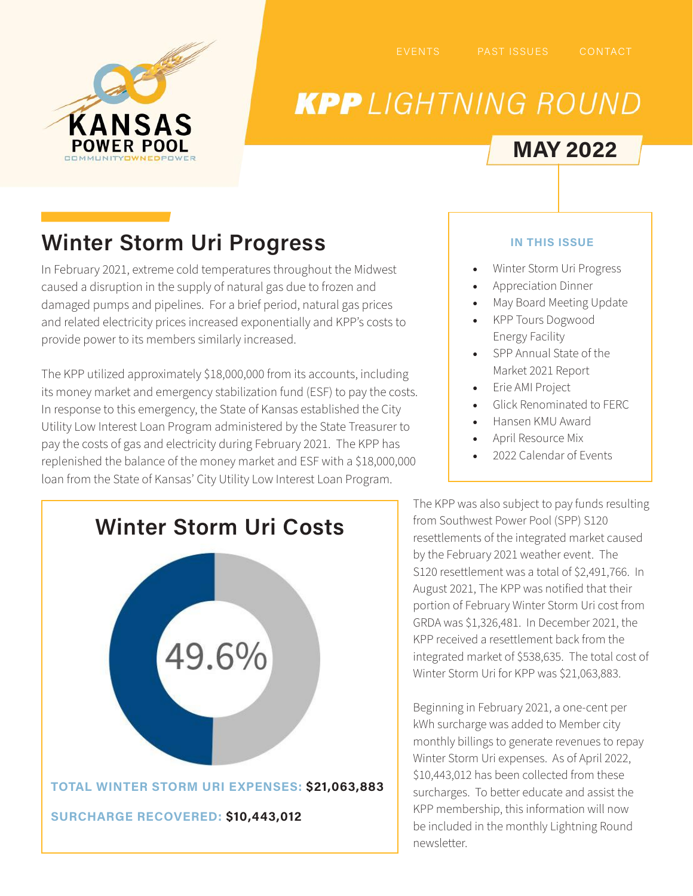

# **KPP** LIGHTNING ROUND

### **MAY 2022**

## **Winter Storm Uri Progress**

In February 2021, extreme cold temperatures throughout the Midwest caused a disruption in the supply of natural gas due to frozen and damaged pumps and pipelines. For a brief period, natural gas prices and related electricity prices increased exponentially and KPP's costs to provide power to its members similarly increased.

The KPP utilized approximately \$18,000,000 from its accounts, including its money market and emergency stabilization fund (ESF) to pay the costs. In response to this emergency, the State of Kansas established the City Utility Low Interest Loan Program administered by the State Treasurer to pay the costs of gas and electricity during February 2021. The KPP has replenished the balance of the money market and ESF with a \$18,000,000 loan from the State of Kansas' City Utility Low Interest Loan Program.



### **IN THIS ISSUE**

- Winter Storm Uri Progress
- Appreciation Dinner
- May Board Meeting Update
- KPP Tours Dogwood Energy Facility
- SPP Annual State of the Market 2021 Report
- Erie AMI Project
- Glick Renominated to FERC
- Hansen KMU Award
- April Resource Mix
- 2022 Calendar of Events

The KPP was also subject to pay funds resulting from Southwest Power Pool (SPP) S120 resettlements of the integrated market caused by the February 2021 weather event. The S120 resettlement was a total of \$2,491,766. In August 2021, The KPP was notified that their portion of February Winter Storm Uri cost from GRDA was \$1,326,481. In December 2021, the KPP received a resettlement back from the integrated market of \$538,635. The total cost of Winter Storm Uri for KPP was \$21,063,883.

Beginning in February 2021, a one-cent per kWh surcharge was added to Member city monthly billings to generate revenues to repay Winter Storm Uri expenses. As of April 2022, \$10,443,012 has been collected from these surcharges. To better educate and assist the KPP membership, this information will now be included in the monthly Lightning Round newsletter.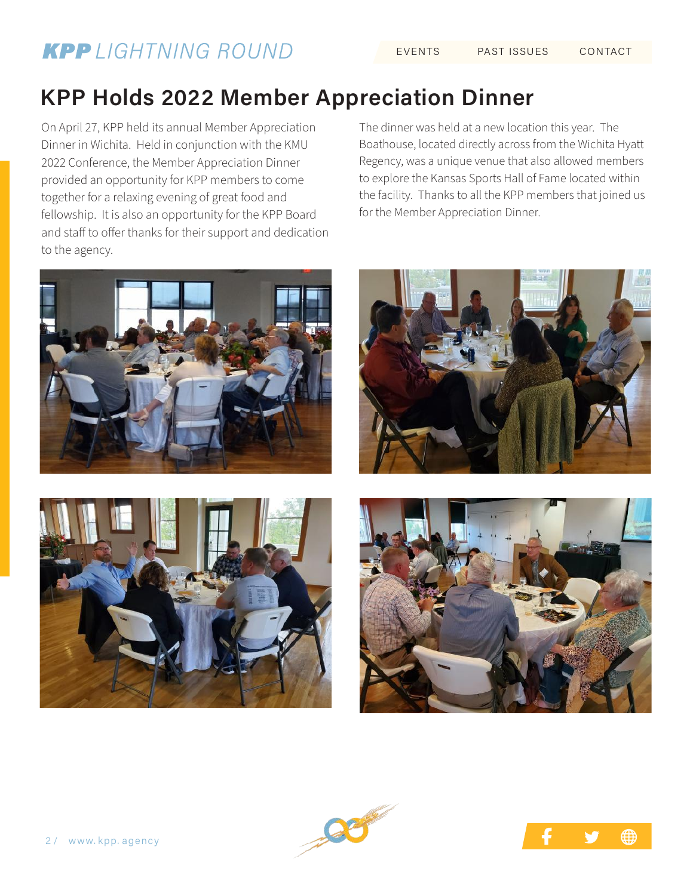### **KPP** LIGHTNING ROUND

## **KPP Holds 2022 Member Appreciation Dinner**

On April 27, KPP held its annual Member Appreciation Dinner in Wichita. Held in conjunction with the KMU 2022 Conference, the Member Appreciation Dinner provided an opportunity for KPP members to come together for a relaxing evening of great food and fellowship. It is also an opportunity for the KPP Board and staff to offer thanks for their support and dedication to the agency.

The dinner was held at a new location this year. The Boathouse, located directly across from the Wichita Hyatt Regency, was a unique venue that also allowed members to explore the Kansas Sports Hall of Fame located within the facility. Thanks to all the KPP members that joined us for the Member Appreciation Dinner.











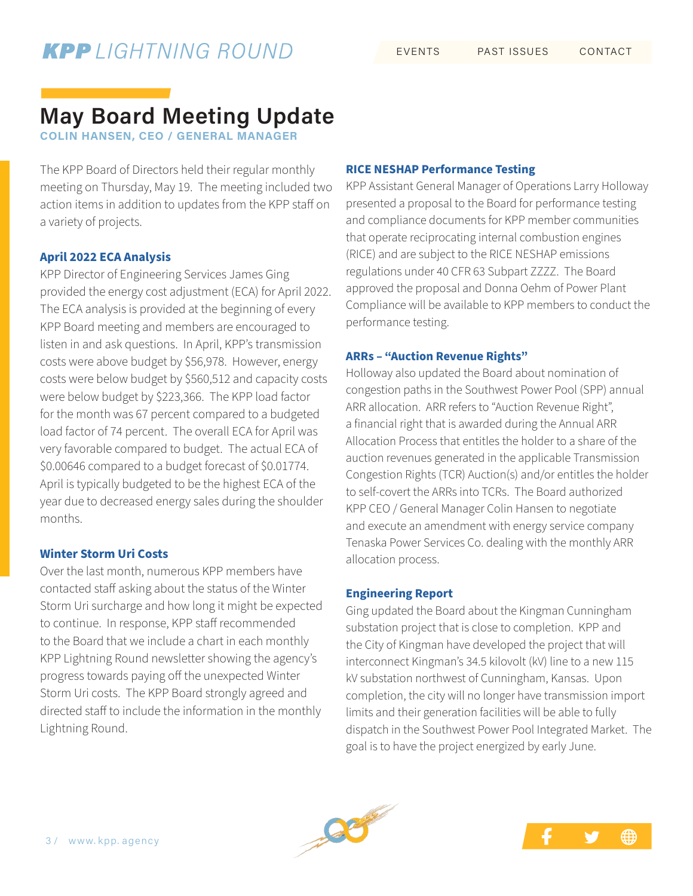### **May Board Meeting Update**

**COLIN HANSEN, CEO / GENERAL MANAGER**

The KPP Board of Directors held their regular monthly meeting on Thursday, May 19. The meeting included two action items in addition to updates from the KPP staff on a variety of projects.

### **April 2022 ECA Analysis**

KPP Director of Engineering Services James Ging provided the energy cost adjustment (ECA) for April 2022. The ECA analysis is provided at the beginning of every KPP Board meeting and members are encouraged to listen in and ask questions. In April, KPP's transmission costs were above budget by \$56,978. However, energy costs were below budget by \$560,512 and capacity costs were below budget by \$223,366. The KPP load factor for the month was 67 percent compared to a budgeted load factor of 74 percent. The overall ECA for April was very favorable compared to budget. The actual ECA of \$0.00646 compared to a budget forecast of \$0.01774. April is typically budgeted to be the highest ECA of the year due to decreased energy sales during the shoulder months.

#### **Winter Storm Uri Costs**

Over the last month, numerous KPP members have contacted staff asking about the status of the Winter Storm Uri surcharge and how long it might be expected to continue. In response, KPP staff recommended to the Board that we include a chart in each monthly KPP Lightning Round newsletter showing the agency's progress towards paying off the unexpected Winter Storm Uri costs. The KPP Board strongly agreed and directed staff to include the information in the monthly Lightning Round.

#### **RICE NESHAP Performance Testing**

KPP Assistant General Manager of Operations Larry Holloway presented a proposal to the Board for performance testing and compliance documents for KPP member communities that operate reciprocating internal combustion engines (RICE) and are subject to the RICE NESHAP emissions regulations under 40 CFR 63 Subpart ZZZZ. The Board approved the proposal and Donna Oehm of Power Plant Compliance will be available to KPP members to conduct the performance testing.

#### **ARRs – "Auction Revenue Rights"**

Holloway also updated the Board about nomination of congestion paths in the Southwest Power Pool (SPP) annual ARR allocation. ARR refers to "Auction Revenue Right", a financial right that is awarded during the Annual ARR Allocation Process that entitles the holder to a share of the auction revenues generated in the applicable Transmission Congestion Rights (TCR) Auction(s) and/or entitles the holder to self-covert the ARRs into TCRs. The Board authorized KPP CEO / General Manager Colin Hansen to negotiate and execute an amendment with energy service company Tenaska Power Services Co. dealing with the monthly ARR allocation process.

#### **Engineering Report**

Ging updated the Board about the Kingman Cunningham substation project that is close to completion. KPP and the City of Kingman have developed the project that will interconnect Kingman's 34.5 kilovolt (kV) line to a new 115 kV substation northwest of Cunningham, Kansas. Upon completion, the city will no longer have transmission import limits and their generation facilities will be able to fully dispatch in the Southwest Power Pool Integrated Market. The goal is to have the project energized by early June.



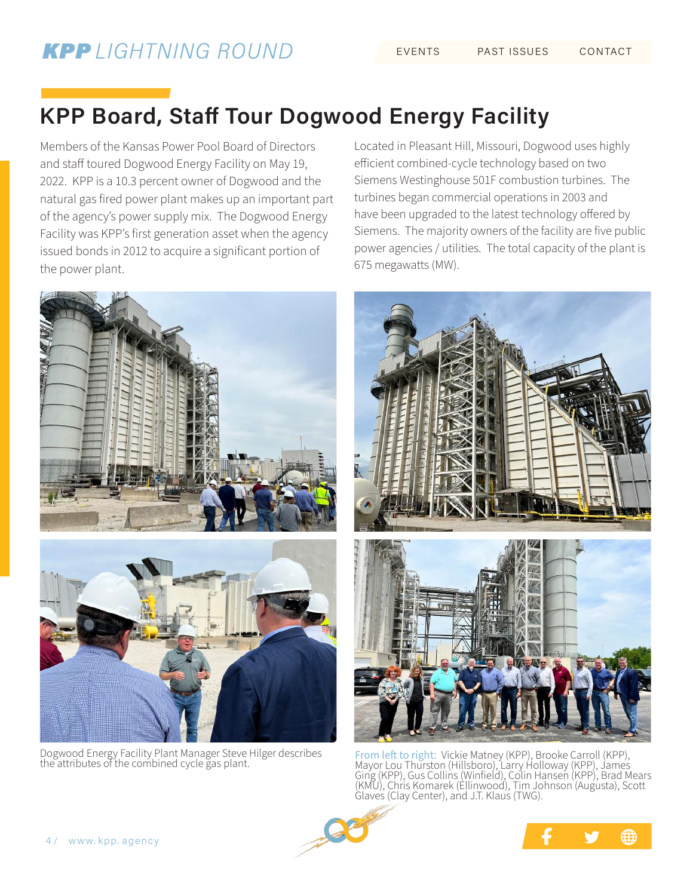### **KPP Board, Staff Tour Dogwood Energy Facility**

Members of the Kansas Power Pool Board of Directors and staff toured Dogwood Energy Facility on May 19, 2022. KPP is a 10.3 percent owner of Dogwood and the natural gas fired power plant makes up an important part of the agency's power supply mix. The Dogwood Energy Facility was KPP's first generation asset when the agency issued bonds in 2012 to acquire a significant portion of the power plant.



Dogwood Energy Facility Plant Manager Steve Hilger describes

Located in Pleasant Hill, Missouri, Dogwood uses highly efficient combined-cycle technology based on two Siemens Westinghouse 501F combustion turbines. The turbines began commercial operations in 2003 and have been upgraded to the latest technology offered by Siemens. The majority owners of the facility are five public power agencies / utilities. The total capacity of the plant is 675 megawatts (MW).



Dogwood Energy Facility Plant Manager Steve Hilger describes From left to right: Vickie Matney (KPP), Brooke Carroll (KPP),<br>the attributes of the combined cycle gas plant. Mayor Lou Thurston (Hillsboro), Larr Ging (KPP), Gus Collins (Winfield), Colin Hansen (KPP), Brad Mears (KMU), Chris Komarek (Ellinwood), Tim Johnson (Augusta), Scott Glaves (Clay Center), and J.T. Klaus (TWG).



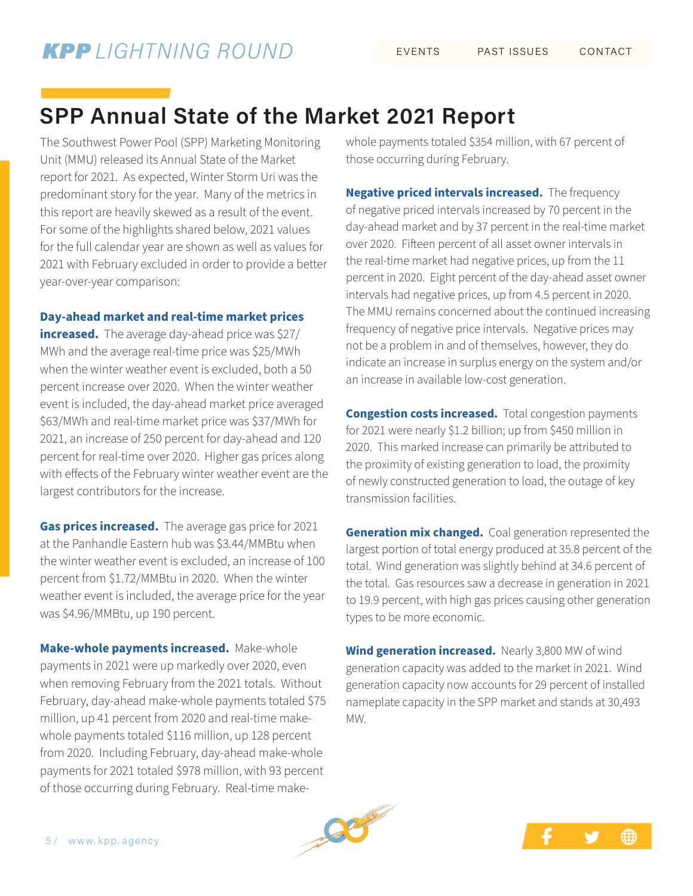### **SPP Annual State of the Market 2021 Report**

The Southwest Power Pool (SPP) Marketing Monitoring Unit (MMU) released its Annual State of the Market report for 2021. As expected, Winter Storm Uri was the predominant story for the year. Many of the metrics in this report are heavily skewed as a result of the event. For some of the highlights shared below, 2021 values for the full calendar year are shown as well as values for 2021 with February excluded in order to provide a better year-over-year comparison:

#### **Day-ahead market and real-time market prices**

**increased.** The average day-ahead price was \$27/ MWh and the average real-time price was \$25/MWh when the winter weather event is excluded, both a 50 percent increase over 2020. When the winter weather event is included, the day-ahead market price averaged \$63/MWh and real-time market price was \$37/MWh for 2021, an increase of 250 percent for day-ahead and 120 percent for real-time over 2020. Higher gas prices along with effects of the February winter weather event are the largest contributors for the increase.

**Gas prices increased.** The average gas price for 2021 at the Panhandle Eastern hub was \$3.44/MMBtu when the winter weather event is excluded, an increase of 100 percent from \$1.72/MMBtu in 2020. When the winter weather event is included, the average price for the year was \$4.96/MMBtu, up 190 percent.

**Make-whole payments increased.** Make-whole payments in 2021 were up markedly over 2020, even when removing February from the 2021 totals. Without February, day-ahead make-whole payments totaled \$75 million, up 41 percent from 2020 and real-time makewhole payments totaled \$116 million, up 128 percent from 2020. Including February, day-ahead make-whole payments for 2021 totaled \$978 million, with 93 percent of those occurring during February. Real-time makewhole payments totaled \$354 million, with 67 percent of those occurring during February.

**Negative priced intervals increased.** The frequency of negative priced intervals increased by 70 percent in the day-ahead market and by 37 percent in the real-time market over 2020. Fifteen percent of all asset owner intervals in the real-time market had negative prices, up from the 11 percent in 2020. Eight percent of the day-ahead asset owner intervals had negative prices, up from 4.5 percent in 2020. The MMU remains concerned about the continued increasing frequency of negative price intervals. Negative prices may not be a problem in and of themselves, however, they do indicate an increase in surplus energy on the system and/or an increase in available low-cost generation.

**Congestion costs increased.** Total congestion payments for 2021 were nearly \$1.2 billion; up from \$450 million in 2020. This marked increase can primarily be attributed to the proximity of existing generation to load, the proximity of newly constructed generation to load, the outage of key transmission facilities.

**Generation mix changed.** Coal generation represented the largest portion of total energy produced at 35.8 percent of the total. Wind generation was slightly behind at 34.6 percent of the total. Gas resources saw a decrease in generation in 2021 to 19.9 percent, with high gas prices causing other generation types to be more economic.

**Wind generation increased.** Nearly 3,800 MW of wind generation capacity was added to the market in 2021. Wind generation capacity now accounts for 29 percent of installed nameplate capacity in the SPP market and stands at 30,493 MW.



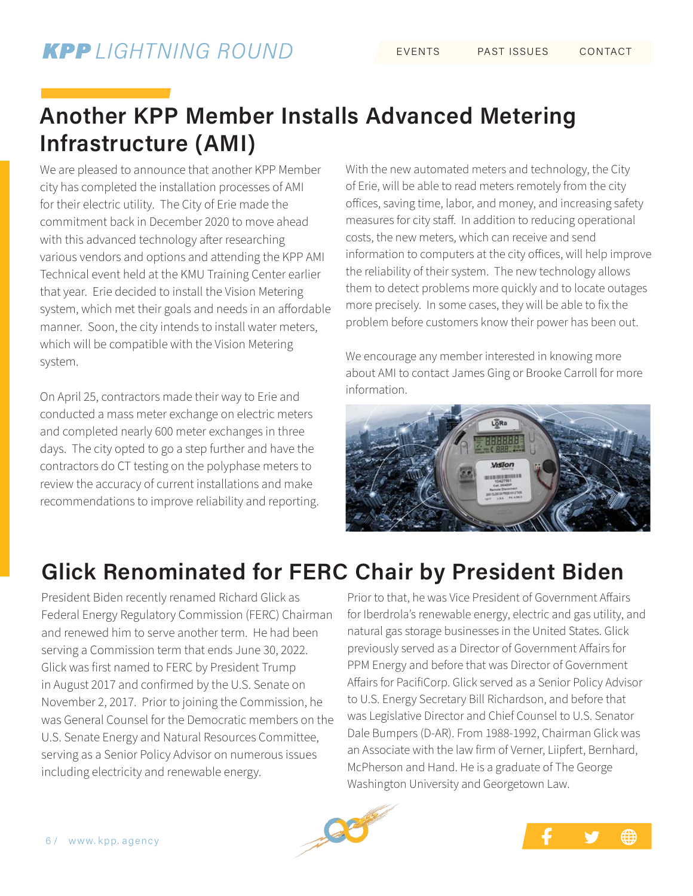### **Another KPP Member Installs Advanced Metering Infrastructure (AMI)**

We are pleased to announce that another KPP Member city has completed the installation processes of AMI for their electric utility. The City of Erie made the commitment back in December 2020 to move ahead with this advanced technology after researching various vendors and options and attending the KPP AMI Technical event held at the KMU Training Center earlier that year. Erie decided to install the Vision Metering system, which met their goals and needs in an affordable manner. Soon, the city intends to install water meters, which will be compatible with the Vision Metering system.

On April 25, contractors made their way to Erie and conducted a mass meter exchange on electric meters and completed nearly 600 meter exchanges in three days. The city opted to go a step further and have the contractors do CT testing on the polyphase meters to review the accuracy of current installations and make recommendations to improve reliability and reporting. With the new automated meters and technology, the City of Erie, will be able to read meters remotely from the city offices, saving time, labor, and money, and increasing safety measures for city staff. In addition to reducing operational costs, the new meters, which can receive and send information to computers at the city offices, will help improve the reliability of their system. The new technology allows them to detect problems more quickly and to locate outages more precisely. In some cases, they will be able to fix the problem before customers know their power has been out.

We encourage any member interested in knowing more about AMI to contact James Ging or Brooke Carroll for more information.



### **Glick Renominated for FERC Chair by President Biden**

President Biden recently renamed Richard Glick as Federal Energy Regulatory Commission (FERC) Chairman and renewed him to serve another term. He had been serving a Commission term that ends June 30, 2022. Glick was first named to FERC by President Trump in August 2017 and confirmed by the U.S. Senate on November 2, 2017. Prior to joining the Commission, he was General Counsel for the Democratic members on the U.S. Senate Energy and Natural Resources Committee, serving as a Senior Policy Advisor on numerous issues including electricity and renewable energy.

Prior to that, he was Vice President of Government Affairs for Iberdrola's renewable energy, electric and gas utility, and natural gas storage businesses in the United States. Glick previously served as a Director of Government Affairs for PPM Energy and before that was Director of Government Affairs for PacifiCorp. Glick served as a Senior Policy Advisor to U.S. Energy Secretary Bill Richardson, and before that was Legislative Director and Chief Counsel to U.S. Senator Dale Bumpers (D-AR). From 1988-1992, Chairman Glick was an Associate with the law firm of Verner, Liipfert, Bernhard, McPherson and Hand. He is a graduate of The George Washington University and Georgetown Law.



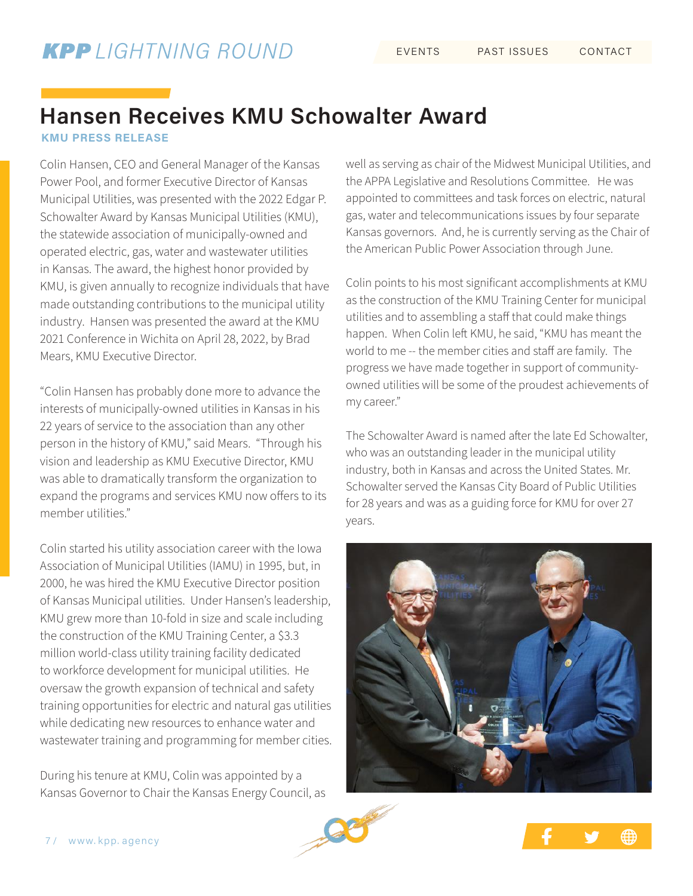### **Hansen Receives KMU Schowalter Award**

**KMU PRESS RELEASE**

Colin Hansen, CEO and General Manager of the Kansas Power Pool, and former Executive Director of Kansas Municipal Utilities, was presented with the 2022 Edgar P. Schowalter Award by Kansas Municipal Utilities (KMU), the statewide association of municipally-owned and operated electric, gas, water and wastewater utilities in Kansas. The award, the highest honor provided by KMU, is given annually to recognize individuals that have made outstanding contributions to the municipal utility industry. Hansen was presented the award at the KMU 2021 Conference in Wichita on April 28, 2022, by Brad Mears, KMU Executive Director.

"Colin Hansen has probably done more to advance the interests of municipally-owned utilities in Kansas in his 22 years of service to the association than any other person in the history of KMU," said Mears. "Through his vision and leadership as KMU Executive Director, KMU was able to dramatically transform the organization to expand the programs and services KMU now offers to its member utilities."

Colin started his utility association career with the Iowa Association of Municipal Utilities (IAMU) in 1995, but, in 2000, he was hired the KMU Executive Director position of Kansas Municipal utilities. Under Hansen's leadership, KMU grew more than 10-fold in size and scale including the construction of the KMU Training Center, a \$3.3 million world-class utility training facility dedicated to workforce development for municipal utilities. He oversaw the growth expansion of technical and safety training opportunities for electric and natural gas utilities while dedicating new resources to enhance water and wastewater training and programming for member cities.

During his tenure at KMU, Colin was appointed by a Kansas Governor to Chair the Kansas Energy Council, as well as serving as chair of the Midwest Municipal Utilities, and the APPA Legislative and Resolutions Committee. He was appointed to committees and task forces on electric, natural gas, water and telecommunications issues by four separate Kansas governors. And, he is currently serving as the Chair of the American Public Power Association through June.

Colin points to his most significant accomplishments at KMU as the construction of the KMU Training Center for municipal utilities and to assembling a staff that could make things happen. When Colin left KMU, he said, "KMU has meant the world to me -- the member cities and staff are family. The progress we have made together in support of communityowned utilities will be some of the proudest achievements of my career."

The Schowalter Award is named after the late Ed Schowalter, who was an outstanding leader in the municipal utility industry, both in Kansas and across the United States. Mr. Schowalter served the Kansas City Board of Public Utilities for 28 years and was as a guiding force for KMU for over 27 years.